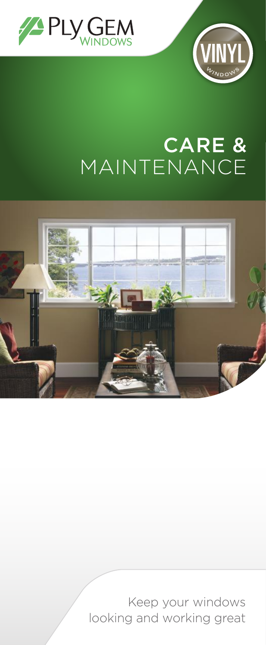



# CARE & MAINTENANCE



Keep your windows looking and working great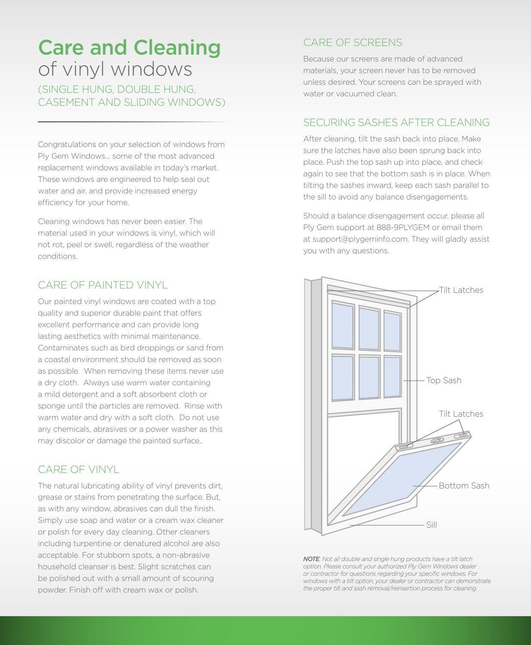### Care and Cleaning of vinyl windows

(SINGLE HUNG, DOUBLE HUNG, CASEMENT AND SLIDING WINDOWS)

Congratulations on your selection of windows from Ply Gem Windows... some of the most advanced replacement windows available in today's market. These windows are engineered to help seal out water and air, and provide increased energy efficiency for your home.

Cleaning windows has never been easier. The material used in your windows is vinyl, which will not rot, peel or swell, regardless of the weather conditions.

#### CARE OF PAINTED VINYL

Our painted vinyl windows are coated with a top quality and superior durable paint that offers excellent performance and can provide long lasting aesthetics with minimal maintenance. Contaminates such as bird droppings or sand from a coastal environment should be removed as soon as possible. When removing these items never use a dry cloth. Always use warm water containing a mild detergent and a soft absorbent cloth or sponge until the particles are removed. Rinse with warm water and dry with a soft cloth. Do not use any chemicals, abrasives or a power washer as this may discolor or damage the painted surface..

#### CARE OF VINYL

The natural lubricating ability of vinyl prevents dirt, grease or stains from penetrating the surface. But, as with any window, abrasives can dull the finish. Simply use soap and water or a cream wax cleaner or polish for every day cleaning. Other cleaners including turpentine or denatured alcohol are also acceptable. For stubborn spots, a non-abrasive household cleanser is best. Slight scratches can be polished out with a small amount of scouring powder. Finish off with cream wax or polish.

#### CARE OF SCREENS

Because our screens are made of advanced materials, your screen never has to be removed unless desired. Your screens can be sprayed with water or vacuumed clean.

#### SECURING SASHES AFTER CLEANING

After cleaning, tilt the sash back into place. Make sure the latches have also been sprung back into place. Push the top sash up into place, and check again to see that the bottom sash is in place. When tilting the sashes inward, keep each sash parallel to the sill to avoid any balance disengagements.

Should a balance disengagement occur, please all Ply Gem support at 888-9PLYGEM or email them at support@plygeminfo.com. They will gladly assist you with any questions.



*NOTE: Not all double and single hung products have a tilt latch option. Please consult your authorized Ply Gem Windows dealer or contractor for questions regarding your specific windows. For windows with a tilt option, your dealer or contractor can demonstrate the proper tilt and sash removal/reinsertion process for cleaning.*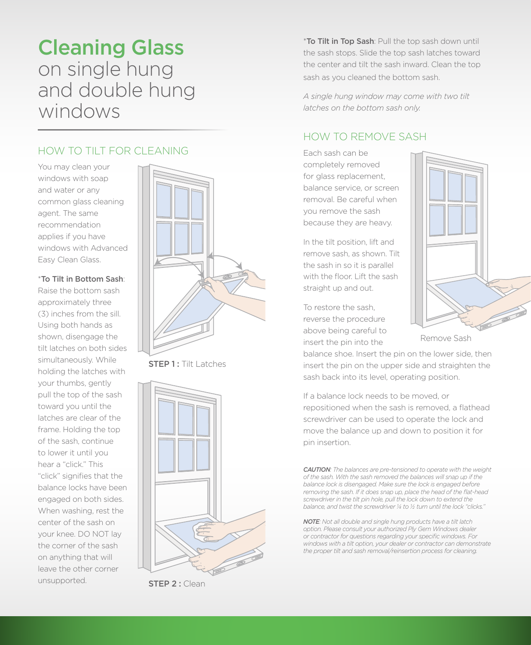### Cleaning Glass on single hung and double hung windows

#### HOW TO TILT FOR CLEANING

You may clean your windows with soap and water or any common glass cleaning agent. The same recommendation applies if you have windows with Advanced Easy Clean Glass.

#### \*To Tilt in Bottom Sash:

Raise the bottom sash approximately three (3) inches from the sill. Using both hands as shown, disengage the tilt latches on both sides simultaneously. While holding the latches with your thumbs, gently pull the top of the sash toward you until the latches are clear of the frame. Holding the top of the sash, continue to lower it until you hear a "click." This "click" signifies that the balance locks have been engaged on both sides. When washing, rest the center of the sash on your knee. DO NOT lay the corner of the sash on anything that will leave the other corner unsupported.  $STFP 2 \cdot$  Clean



**STEP 1: Tilt Latches** 



\*To Tilt in Top Sash: Pull the top sash down until the sash stops. Slide the top sash latches toward the center and tilt the sash inward. Clean the top sash as you cleaned the bottom sash.

*A single hung window may come with two tilt latches on the bottom sash only.* 

#### HOW TO REMOVE SASH

Each sash can be completely removed for glass replacement, balance service, or screen removal. Be careful when you remove the sash because they are heavy.

In the tilt position, lift and remove sash, as shown. Tilt the sash in so it is parallel with the floor. Lift the sash straight up and out.

To restore the sash, reverse the procedure above being careful to insert the pin into the

Remove Sash

balance shoe. Insert the pin on the lower side, then insert the pin on the upper side and straighten the sash back into its level, operating position.

If a balance lock needs to be moved, or repositioned when the sash is removed, a flathead screwdriver can be used to operate the lock and move the balance up and down to position it for pin insertion.

*CAUTION: The balances are pre-tensioned to operate with the weight of the sash. With the sash removed the balances will snap up if the balance lock is disengaged. Make sure the lock is engaged before removing the sash. If it does snap up, place the head of the flat-head screwdriver in the tilt pin hole, pull the lock down to extend the balance, and twist the screwdriver ¼ to ½ turn until the lock "clicks."*

*NOTE: Not all double and single hung products have a tilt latch option. Please consult your authorized Ply Gem Windows dealer or contractor for questions regarding your specific windows. For windows with a tilt option, your dealer or contractor can demonstrate the proper tilt and sash removal/reinsertion process for cleaning.*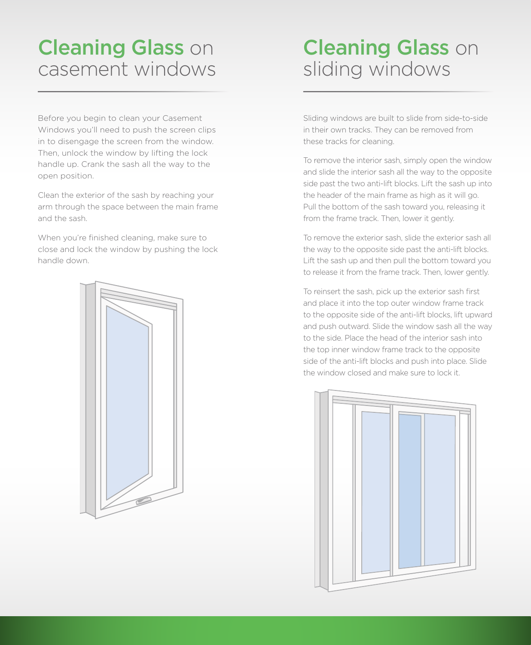# **Cleaning Glass on** casement windows

Before you begin to clean your Casement Windows you'll need to push the screen clips in to disengage the screen from the window. Then, unlock the window by lifting the lock handle up. Crank the sash all the way to the open position.

Clean the exterior of the sash by reaching your arm through the space between the main frame and the sash.

When you're finished cleaning, make sure to close and lock the window by pushing the lock handle down.



# **Cleaning Glass on** sliding windows

Sliding windows are built to slide from side-to-side in their own tracks. They can be removed from these tracks for cleaning.

To remove the interior sash, simply open the window and slide the interior sash all the way to the opposite side past the two anti-lift blocks. Lift the sash up into the header of the main frame as high as it will go. Pull the bottom of the sash toward you, releasing it from the frame track. Then, lower it gently.

To remove the exterior sash, slide the exterior sash all the way to the opposite side past the anti-lift blocks. Lift the sash up and then pull the bottom toward you to release it from the frame track. Then, lower gently.

To reinsert the sash, pick up the exterior sash first and place it into the top outer window frame track to the opposite side of the anti-lift blocks, lift upward and push outward. Slide the window sash all the way to the side. Place the head of the interior sash into the top inner window frame track to the opposite side of the anti-lift blocks and push into place. Slide the window closed and make sure to lock it.

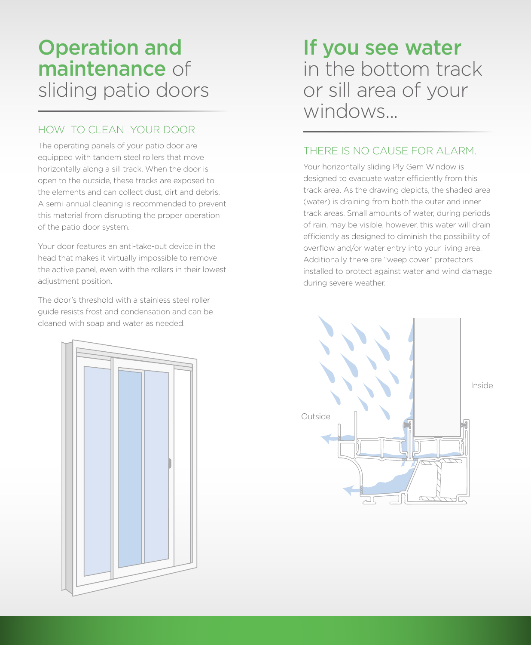# Operation and maintenance of sliding patio doors

### HOW TO CLEAN YOUR DOOR

The operating panels of your patio door are equipped with tandem steel rollers that move horizontally along a sill track. When the door is open to the outside, these tracks are exposed to the elements and can collect dust, dirt and debris. A semi-annual cleaning is recommended to prevent this material from disrupting the proper operation of the patio door system.

Your door features an anti-take-out device in the head that makes it virtually impossible to remove the active panel, even with the rollers in their lowest adjustment position.

The door's threshold with a stainless steel roller guide resists frost and condensation and can be cleaned with soap and water as needed.

If you see water in the bottom track or sill area of your windows

#### THERE IS NO CAUSE FOR ALARM.

Your horizontally sliding Ply Gem Window is designed to evacuate water efficiently from this track area. As the drawing depicts, the shaded area (water) is draining from both the outer and inner track areas. Small amounts of water, during periods of rain, may be visible, however, this water will drain efficiently as designed to diminish the possibility of overflow and/or water entry into your living area. Additionally there are "weep cover" protectors installed to protect against water and wind damage during severe weather.



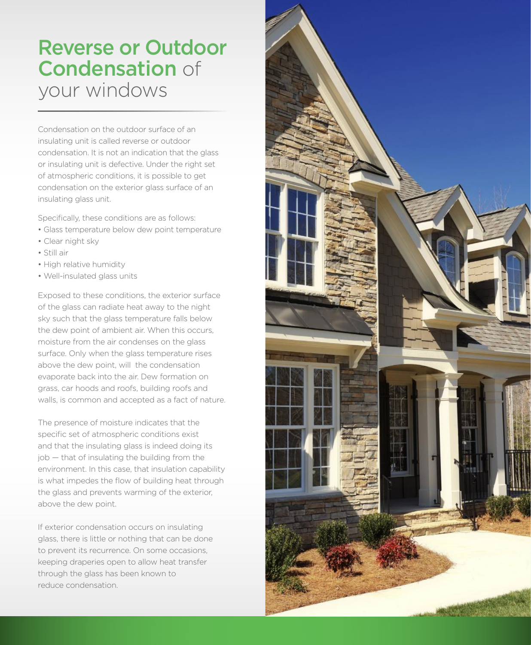## Reverse or Outdoor Condensation of your windows

Condensation on the outdoor surface of an insulating unit is called reverse or outdoor condensation. It is not an indication that the glass or insulating unit is defective. Under the right set of atmospheric conditions, it is possible to get condensation on the exterior glass surface of an insulating glass unit.

Specifically, these conditions are as follows:

- Glass temperature below dew point temperature
- Clear night sky
- Still air
- High relative humidity
- Well-insulated glass units

Exposed to these conditions, the exterior surface of the glass can radiate heat away to the night sky such that the glass temperature falls below the dew point of ambient air. When this occurs, moisture from the air condenses on the glass surface. Only when the glass temperature rises above the dew point, will the condensation evaporate back into the air. Dew formation on grass, car hoods and roofs, building roofs and walls, is common and accepted as a fact of nature.

The presence of moisture indicates that the specific set of atmospheric conditions exist and that the insulating glass is indeed doing its job — that of insulating the building from the environment. In this case, that insulation capability is what impedes the flow of building heat through the glass and prevents warming of the exterior, above the dew point.

If exterior condensation occurs on insulating glass, there is little or nothing that can be done to prevent its recurrence. On some occasions, keeping draperies open to allow heat transfer through the glass has been known to reduce condensation.